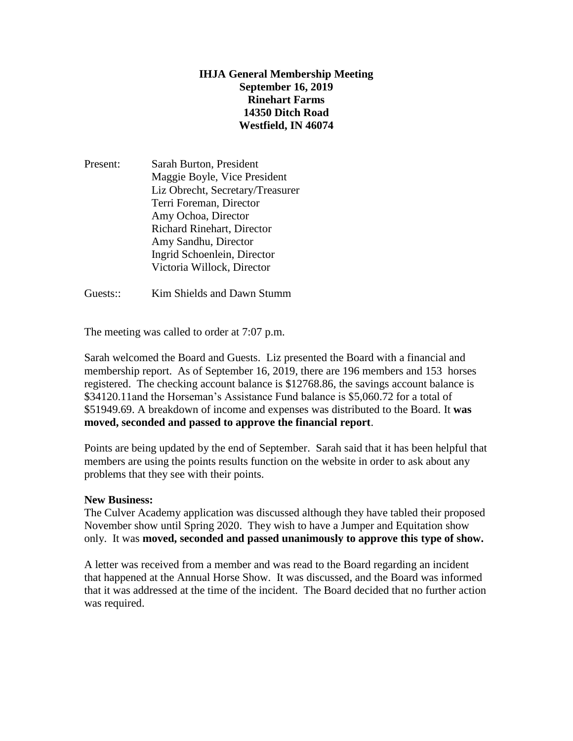## **IHJA General Membership Meeting September 16, 2019 Rinehart Farms 14350 Ditch Road Westfield, IN 46074**

Present: Sarah Burton, President Maggie Boyle, Vice President Liz Obrecht, Secretary/Treasurer Terri Foreman, Director Amy Ochoa, Director Richard Rinehart, Director Amy Sandhu, Director Ingrid Schoenlein, Director Victoria Willock, Director

Guests:: Kim Shields and Dawn Stumm

The meeting was called to order at 7:07 p.m.

Sarah welcomed the Board and Guests. Liz presented the Board with a financial and membership report. As of September 16, 2019, there are 196 members and 153 horses registered. The checking account balance is \$12768.86, the savings account balance is \$34120.11and the Horseman's Assistance Fund balance is \$5,060.72 for a total of \$51949.69. A breakdown of income and expenses was distributed to the Board. It **was moved, seconded and passed to approve the financial report**.

Points are being updated by the end of September. Sarah said that it has been helpful that members are using the points results function on the website in order to ask about any problems that they see with their points.

#### **New Business:**

The Culver Academy application was discussed although they have tabled their proposed November show until Spring 2020. They wish to have a Jumper and Equitation show only. It was **moved, seconded and passed unanimously to approve this type of show.**

A letter was received from a member and was read to the Board regarding an incident that happened at the Annual Horse Show. It was discussed, and the Board was informed that it was addressed at the time of the incident. The Board decided that no further action was required.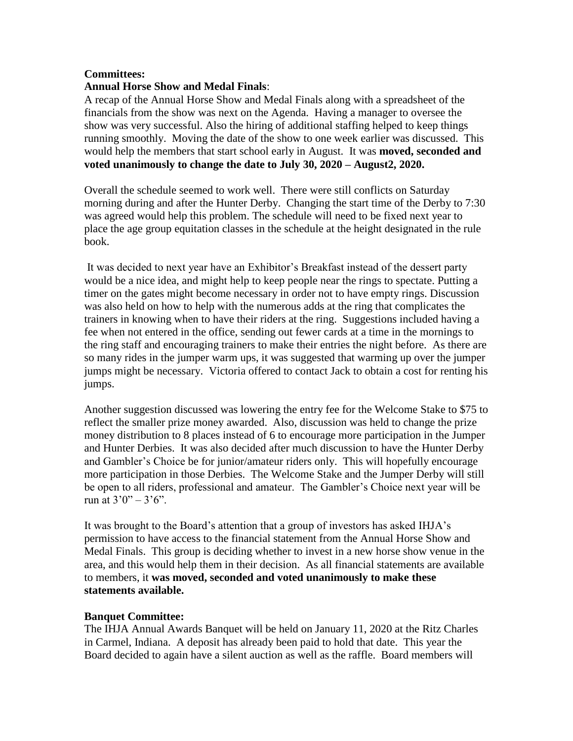### **Committees:**

## **Annual Horse Show and Medal Finals**:

A recap of the Annual Horse Show and Medal Finals along with a spreadsheet of the financials from the show was next on the Agenda. Having a manager to oversee the show was very successful. Also the hiring of additional staffing helped to keep things running smoothly. Moving the date of the show to one week earlier was discussed. This would help the members that start school early in August. It was **moved, seconded and voted unanimously to change the date to July 30, 2020 – August2, 2020.**

Overall the schedule seemed to work well. There were still conflicts on Saturday morning during and after the Hunter Derby. Changing the start time of the Derby to 7:30 was agreed would help this problem. The schedule will need to be fixed next year to place the age group equitation classes in the schedule at the height designated in the rule book.

It was decided to next year have an Exhibitor's Breakfast instead of the dessert party would be a nice idea, and might help to keep people near the rings to spectate. Putting a timer on the gates might become necessary in order not to have empty rings. Discussion was also held on how to help with the numerous adds at the ring that complicates the trainers in knowing when to have their riders at the ring. Suggestions included having a fee when not entered in the office, sending out fewer cards at a time in the mornings to the ring staff and encouraging trainers to make their entries the night before. As there are so many rides in the jumper warm ups, it was suggested that warming up over the jumper jumps might be necessary. Victoria offered to contact Jack to obtain a cost for renting his jumps.

Another suggestion discussed was lowering the entry fee for the Welcome Stake to \$75 to reflect the smaller prize money awarded. Also, discussion was held to change the prize money distribution to 8 places instead of 6 to encourage more participation in the Jumper and Hunter Derbies. It was also decided after much discussion to have the Hunter Derby and Gambler's Choice be for junior/amateur riders only. This will hopefully encourage more participation in those Derbies. The Welcome Stake and the Jumper Derby will still be open to all riders, professional and amateur. The Gambler's Choice next year will be run at  $3'0'' - 3'6''$ .

It was brought to the Board's attention that a group of investors has asked IHJA's permission to have access to the financial statement from the Annual Horse Show and Medal Finals. This group is deciding whether to invest in a new horse show venue in the area, and this would help them in their decision. As all financial statements are available to members, it **was moved, seconded and voted unanimously to make these statements available.**

#### **Banquet Committee:**

The IHJA Annual Awards Banquet will be held on January 11, 2020 at the Ritz Charles in Carmel, Indiana. A deposit has already been paid to hold that date. This year the Board decided to again have a silent auction as well as the raffle. Board members will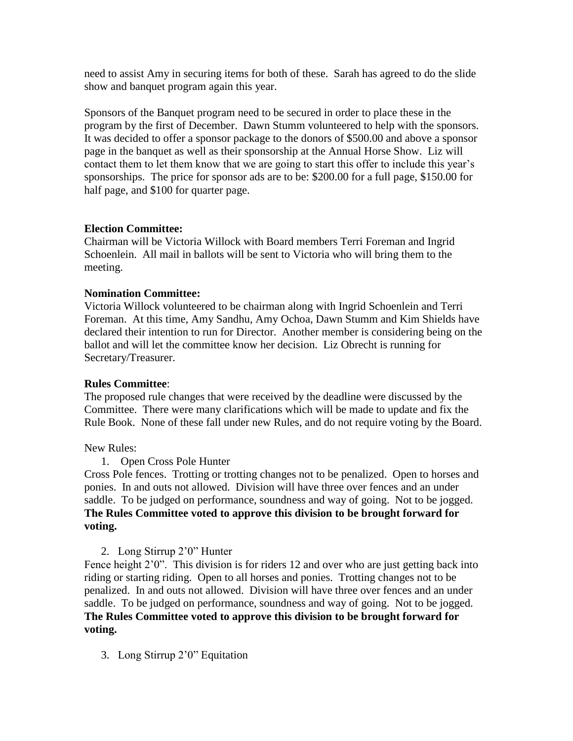need to assist Amy in securing items for both of these. Sarah has agreed to do the slide show and banquet program again this year.

Sponsors of the Banquet program need to be secured in order to place these in the program by the first of December. Dawn Stumm volunteered to help with the sponsors. It was decided to offer a sponsor package to the donors of \$500.00 and above a sponsor page in the banquet as well as their sponsorship at the Annual Horse Show. Liz will contact them to let them know that we are going to start this offer to include this year's sponsorships. The price for sponsor ads are to be: \$200.00 for a full page, \$150.00 for half page, and \$100 for quarter page.

### **Election Committee:**

Chairman will be Victoria Willock with Board members Terri Foreman and Ingrid Schoenlein. All mail in ballots will be sent to Victoria who will bring them to the meeting.

### **Nomination Committee:**

Victoria Willock volunteered to be chairman along with Ingrid Schoenlein and Terri Foreman. At this time, Amy Sandhu, Amy Ochoa, Dawn Stumm and Kim Shields have declared their intention to run for Director. Another member is considering being on the ballot and will let the committee know her decision. Liz Obrecht is running for Secretary/Treasurer.

# **Rules Committee**:

The proposed rule changes that were received by the deadline were discussed by the Committee. There were many clarifications which will be made to update and fix the Rule Book. None of these fall under new Rules, and do not require voting by the Board.

New Rules:

1. Open Cross Pole Hunter

Cross Pole fences. Trotting or trotting changes not to be penalized. Open to horses and ponies. In and outs not allowed. Division will have three over fences and an under saddle. To be judged on performance, soundness and way of going. Not to be jogged. **The Rules Committee voted to approve this division to be brought forward for voting.**

# 2. Long Stirrup 2'0" Hunter

Fence height 2'0". This division is for riders 12 and over who are just getting back into riding or starting riding. Open to all horses and ponies. Trotting changes not to be penalized. In and outs not allowed. Division will have three over fences and an under saddle. To be judged on performance, soundness and way of going. Not to be jogged. **The Rules Committee voted to approve this division to be brought forward for voting.**

3. Long Stirrup 2'0" Equitation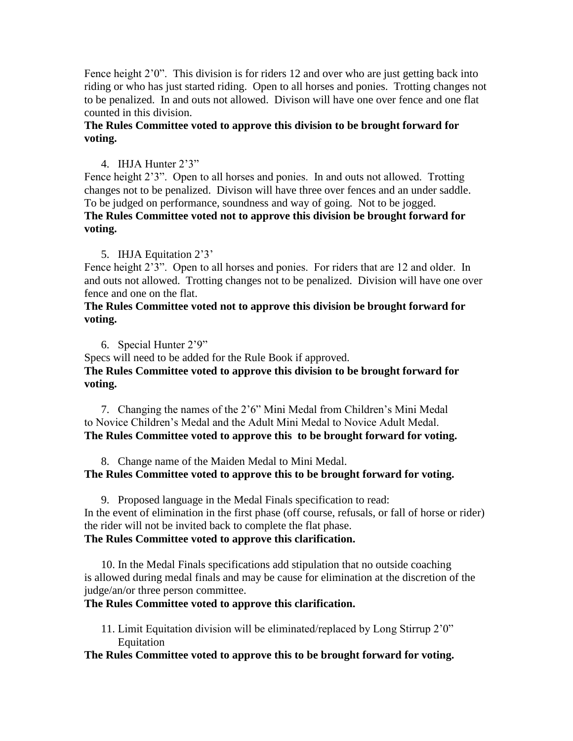Fence height 2'0". This division is for riders 12 and over who are just getting back into riding or who has just started riding. Open to all horses and ponies. Trotting changes not to be penalized. In and outs not allowed. Divison will have one over fence and one flat counted in this division.

# **The Rules Committee voted to approve this division to be brought forward for voting.**

# 4. IHJA Hunter 2'3"

Fence height 2'3". Open to all horses and ponies. In and outs not allowed. Trotting changes not to be penalized. Divison will have three over fences and an under saddle. To be judged on performance, soundness and way of going. Not to be jogged. **The Rules Committee voted not to approve this division be brought forward for voting.**

# 5. IHJA Equitation 2'3'

Fence height 2'3". Open to all horses and ponies. For riders that are 12 and older. In and outs not allowed. Trotting changes not to be penalized. Division will have one over fence and one on the flat.

## **The Rules Committee voted not to approve this division be brought forward for voting.**

6. Special Hunter 2'9"

Specs will need to be added for the Rule Book if approved.

# **The Rules Committee voted to approve this division to be brought forward for voting.**

7. Changing the names of the 2'6" Mini Medal from Children's Mini Medal to Novice Children's Medal and the Adult Mini Medal to Novice Adult Medal. **The Rules Committee voted to approve this to be brought forward for voting.**

8. Change name of the Maiden Medal to Mini Medal.

# **The Rules Committee voted to approve this to be brought forward for voting.**

9. Proposed language in the Medal Finals specification to read: In the event of elimination in the first phase (off course, refusals, or fall of horse or rider) the rider will not be invited back to complete the flat phase.

# **The Rules Committee voted to approve this clarification.**

10. In the Medal Finals specifications add stipulation that no outside coaching is allowed during medal finals and may be cause for elimination at the discretion of the judge/an/or three person committee.

# **The Rules Committee voted to approve this clarification.**

11. Limit Equitation division will be eliminated/replaced by Long Stirrup 2'0" Equitation

# **The Rules Committee voted to approve this to be brought forward for voting.**